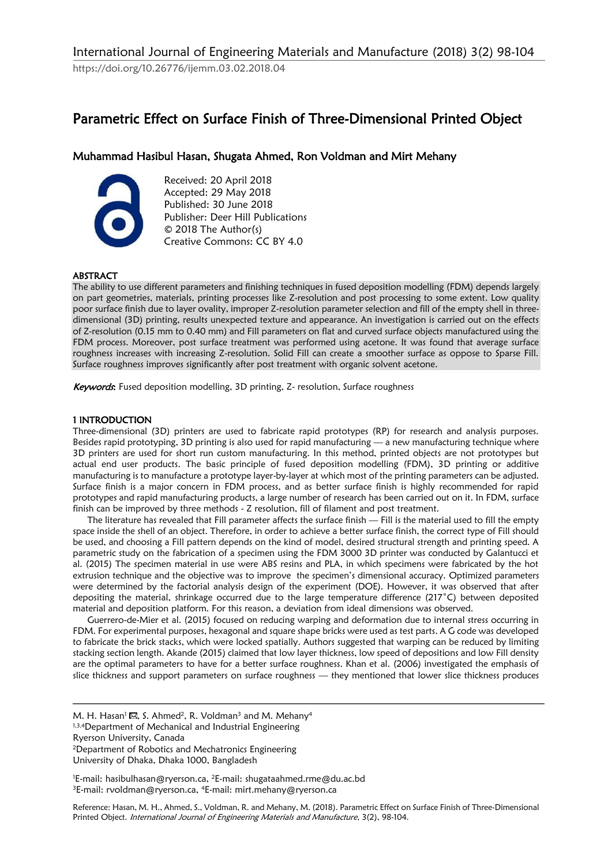https://doi.org/10.26776/ijemm.03.02.2018.04

# Parametric Effect on Surface Finish of Three-Dimensional Printed Object

## Muhammad Hasibul Hasan, Shugata Ahmed, Ron Voldman and Mirt Mehany



Received: 20 April 2018 Accepted: 29 May 2018 Published: 30 June 2018 Publisher: Deer Hill Publications © 2018 The Author(s) Creative Commons: CC BY 4.0

## ABSTRACT

The ability to use different parameters and finishing techniques in fused deposition modelling (FDM) depends largely on part geometries, materials, printing processes like Z-resolution and post processing to some extent. Low quality poor surface finish due to layer ovality, improper Z-resolution parameter selection and fill of the empty shell in threedimensional (3D) printing, results unexpected texture and appearance. An investigation is carried out on the effects of Z-resolution (0.15 mm to 0.40 mm) and Fill parameters on flat and curved surface objects manufactured using the FDM process. Moreover, post surface treatment was performed using acetone. It was found that average surface roughness increases with increasing Z-resolution. Solid Fill can create a smoother surface as oppose to Sparse Fill. Surface roughness improves significantly after post treatment with organic solvent acetone.

Keywords: Fused deposition modelling, 3D printing, Z- resolution, Surface roughness

## 1 INTRODUCTION

Three-dimensional (3D) printers are used to fabricate rapid prototypes (RP) for research and analysis purposes. Besides rapid prototyping, 3D printing is also used for rapid manufacturing — a new manufacturing technique where 3D printers are used for short run custom manufacturing. In this method, printed objects are not prototypes but actual end user products. The basic principle of fused deposition modelling (FDM), 3D printing or additive manufacturing is to manufacture a prototype layer-by-layer at which most of the printing parameters can be adjusted. Surface finish is a major concern in FDM process, and as better surface finish is highly recommended for rapid prototypes and rapid manufacturing products, a large number of research has been carried out on it. In FDM, surface finish can be improved by three methods - Z resolution, fill of filament and post treatment.

The literature has revealed that Fill parameter affects the surface finish — Fill is the material used to fill the empty space inside the shell of an object. Therefore, in order to achieve a better surface finish, the correct type of Fill should be used, and choosing a Fill pattern depends on the kind of model, desired structural strength and printing speed. A parametric study on the fabrication of a specimen using the FDM 3000 3D printer was conducted by Galantucci et al. (2015) The specimen material in use were ABS resins and PLA, in which specimens were fabricated by the hot extrusion technique and the objective was to improve the specimen's dimensional accuracy. Optimized parameters were determined by the factorial analysis design of the experiment (DOE). However, it was observed that after depositing the material, shrinkage occurred due to the large temperature difference (217˚C) between deposited material and deposition platform. For this reason, a deviation from ideal dimensions was observed.

Guerrero-de-Mier et al. (2015) focused on reducing warping and deformation due to internal stress occurring in FDM. For experimental purposes, hexagonal and square shape bricks were used as test parts. A G code was developed to fabricate the brick stacks, which were locked spatially. Authors suggested that warping can be reduced by limiting stacking section length. Akande (2015) claimed that low layer thickness, low speed of depositions and low Fill density are the optimal parameters to have for a better surface roughness. Khan et al. (2006) investigated the emphasis of slice thickness and support parameters on surface roughness — they mentioned that lower slice thickness produces

Ryerson University, Canada

<sup>2</sup>Department of Robotics and Mechatronics Engineering University of Dhaka, Dhaka 1000, Bangladesh

Reference: Hasan, M. H., Ahmed, S., Voldman, R. and Mehany, M. (2018). Parametric Effect on Surface Finish of Three-Dimensional Printed Object. International Journal of Engineering Materials and Manufacture, 3(2), 98-104.

M. H. Hasan<sup>1</sup>  $\boxtimes$ , S. Ahmed<sup>2</sup>, R. Voldman<sup>3</sup> and M. Mehany<sup>4</sup> 1,3,4Department of Mechanical and Industrial Engineering

<sup>&#</sup>x27;E-mail: hasibulhasan@ryerson.ca, <sup>2</sup>E-mail: shugataahmed.rme@du.ac.bd <sup>3</sup>E-mail: rvoldman@ryerson.ca, <sup>4</sup>E-mail: mirt.mehany@ryerson.ca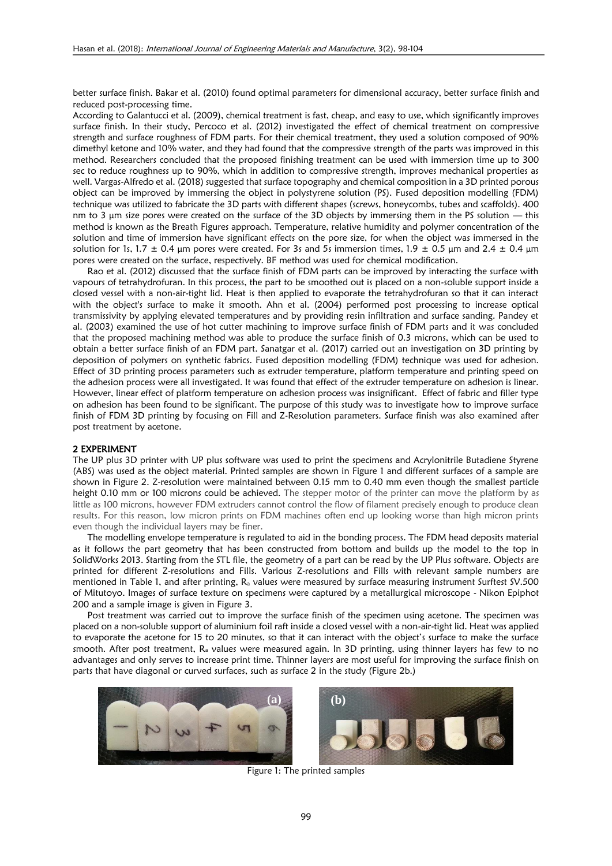better surface finish. Bakar et al. (2010) found optimal parameters for dimensional accuracy, better surface finish and reduced post-processing time.

According to Galantucci et al. (2009), chemical treatment is fast, cheap, and easy to use, which significantly improves surface finish. In their study, Percoco et al. (2012) investigated the effect of chemical treatment on compressive strength and surface roughness of FDM parts. For their chemical treatment, they used a solution composed of 90% dimethyl ketone and 10% water, and they had found that the compressive strength of the parts was improved in this method. Researchers concluded that the proposed finishing treatment can be used with immersion time up to 300 sec to reduce roughness up to 90%, which in addition to compressive strength, improves mechanical properties as well. Vargas-Alfredo et al. (2018) suggested that surface topography and chemical composition in a 3D printed porous object can be improved by immersing the object in polystyrene solution (PS). Fused deposition modelling (FDM) technique was utilized to fabricate the 3D parts with different shapes (screws, honeycombs, tubes and scaffolds). 400 nm to 3  $\mu$ m size pores were created on the surface of the 3D objects by immersing them in the PS solution  $-$  this method is known as the Breath Figures approach. Temperature, relative humidity and polymer concentration of the solution and time of immersion have significant effects on the pore size, for when the object was immersed in the solution for 1s, 1.7  $\pm$  0.4 μm pores were created. For 3s and 5s immersion times, 1.9  $\pm$  0.5 μm and 2.4  $\pm$  0.4 μm pores were created on the surface, respectively. BF method was used for chemical modification.

Rao et al. (2012) discussed that the surface finish of FDM parts can be improved by interacting the surface with vapours of tetrahydrofuran. In this process, the part to be smoothed out is placed on a non-soluble support inside a closed vessel with a non-air-tight lid. Heat is then applied to evaporate the tetrahydrofuran so that it can interact with the object's surface to make it smooth. Ahn et al. (2004) performed post processing to increase optical transmissivity by applying elevated temperatures and by providing resin infiltration and surface sanding. Pandey et al. (2003) examined the use of hot cutter machining to improve surface finish of FDM parts and it was concluded that the proposed machining method was able to produce the surface finish of 0.3 microns, which can be used to obtain a better surface finish of an FDM part. Sanatgar et al. (2017) carried out an investigation on 3D printing by deposition of polymers on synthetic fabrics. Fused deposition modelling (FDM) technique was used for adhesion. Effect of 3D printing process parameters such as extruder temperature, platform temperature and printing speed on the adhesion process were all investigated. It was found that effect of the extruder temperature on adhesion is linear. However, linear effect of platform temperature on adhesion process was insignificant. Effect of fabric and filler type on adhesion has been found to be significant. The purpose of this study was to investigate how to improve surface finish of FDM 3D printing by focusing on Fill and Z-Resolution parameters. Surface finish was also examined after post treatment by acetone.

#### 2 EXPERIMENT

The UP plus 3D printer with UP plus software was used to print the specimens and Acrylonitrile Butadiene Styrene (ABS) was used as the object material. Printed samples are shown in Figure 1 and different surfaces of a sample are shown in Figure 2. Z-resolution were maintained between 0.15 mm to 0.40 mm even though the smallest particle height 0.10 mm or 100 microns could be achieved. The stepper motor of the printer can move the platform by as little as 100 microns, however FDM extruders cannot control the flow of filament precisely enough to produce clean results. For this reason, low micron prints on FDM machines often end up looking worse than high micron prints even though the individual layers may be finer.

The modelling envelope temperature is regulated to aid in the bonding process. The FDM head deposits material as it follows the part geometry that has been constructed from bottom and builds up the model to the top in SolidWorks 2013. Starting from the STL file, the geometry of a part can be read by the UP Plus software. Objects are printed for different Z-resolutions and Fills. Various Z-resolutions and Fills with relevant sample numbers are mentioned in Table 1, and after printing, R<sub>a</sub> values were measured by surface measuring instrument Surftest SV.500 of Mitutoyo. Images of surface texture on specimens were captured by a metallurgical microscope - Nikon Epiphot 200 and a sample image is given in Figure 3.

Post treatment was carried out to improve the surface finish of the specimen using acetone. The specimen was placed on a non-soluble support of aluminium foil raft inside a closed vessel with a non-air-tight lid. Heat was applied to evaporate the acetone for 15 to 20 minutes, so that it can interact with the object's surface to make the surface smooth. After post treatment,  $R_a$  values were measured again. In 3D printing, using thinner layers has few to no advantages and only serves to increase print time. Thinner layers are most useful for improving the surface finish on parts that have diagonal or curved surfaces, such as surface 2 in the study (Figure 2b.)





Figure 1: The printed samples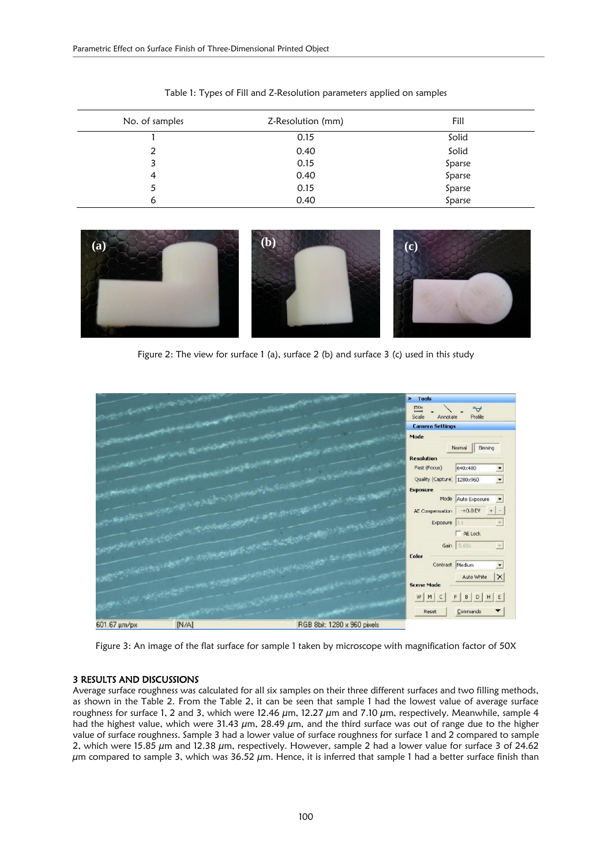| No. of samples | Z-Resolution (mm) | Fill        |
|----------------|-------------------|-------------|
|                | 0.15              | Solid       |
| 2              | 0.40              | Solid       |
| 3              | 0.15              | Sparse      |
| 4              | 0.40              | Sparse      |
| 5              | 0.15              | Sparse      |
| 6              | 0.40              | .<br>Sparse |

Table 1: Types of Fill and Z-Resolution parameters applied on samples



Figure 2: The view for surface 1 (a), surface 2 (b) and surface 3 (c) used in this study



Figure 3: An image of the flat surface for sample 1 taken by microscope with magnification factor of 50X

### 3 RESULTS AND DISCUSSIONS

Average surface roughness was calculated for all six samples on their three different surfaces and two filling methods, as shown in the Table 2. From the Table 2, it can be seen that sample 1 had the lowest value of average surface roughness for surface 1, 2 and 3, which were 12.46  $\mu$ m, 12.27  $\mu$ m and 7.10  $\mu$ m, respectively. Meanwhile, sample 4 had the highest value, which were 31.43  $\mu$ m, 28.49  $\mu$ m, and the third surface was out of range due to the higher value of surface roughness. Sample 3 had a lower value of surface roughness for surface 1 and 2 compared to sample 2, which were 15.85  $\mu$ m and 12.38  $\mu$ m, respectively. However, sample 2 had a lower value for surface 3 of 24.62  $\mu$ m compared to sample 3, which was 36.52  $\mu$ m. Hence, it is inferred that sample 1 had a better surface finish than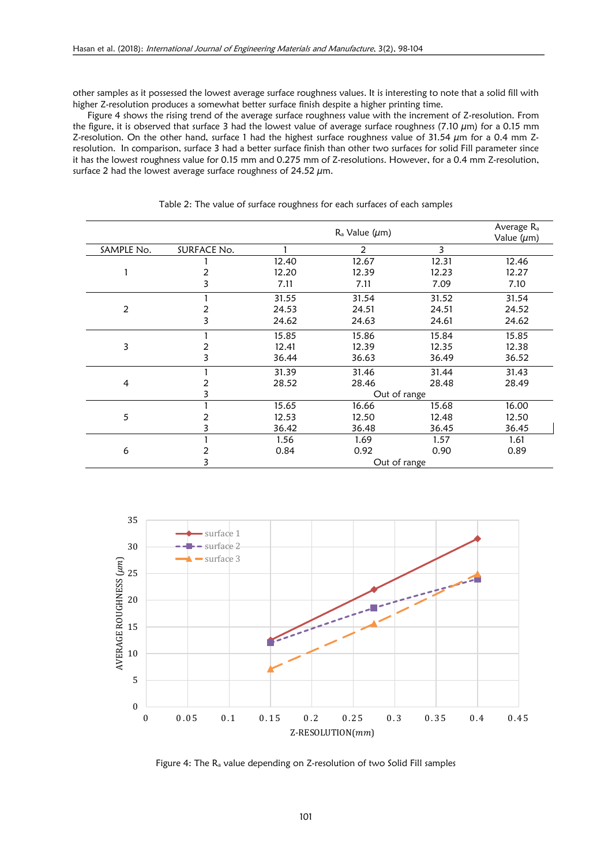other samples as it possessed the lowest average surface roughness values. It is interesting to note that a solid fill with higher Z-resolution produces a somewhat better surface finish despite a higher printing time.

Figure 4 shows the rising trend of the average surface roughness value with the increment of Z-resolution. From the figure, it is observed that surface 3 had the lowest value of average surface roughness (7.10  $\mu$ m) for a 0.15 mm Z-resolution. On the other hand, surface 1 had the highest surface roughness value of  $31.54 \mu m$  for a 0.4 mm Zresolution. In comparison, surface 3 had a better surface finish than other two surfaces for solid Fill parameter since it has the lowest roughness value for 0.15 mm and 0.275 mm of Z-resolutions. However, for a 0.4 mm Z-resolution, surface 2 had the lowest average surface roughness of 24.52  $\mu$ m.

|                |             |              | $R_a$ Value ( $\mu$ m) |       | Average R <sub>a</sub><br>Value $(\mu m)$ |
|----------------|-------------|--------------|------------------------|-------|-------------------------------------------|
| SAMPLE No.     | SURFACE No. |              | 2                      | 3     |                                           |
|                |             | 12.40        | 12.67                  | 12.31 | 12.46                                     |
|                |             | 12.20        | 12.39                  | 12.23 | 12.27                                     |
|                | 3           | 7.11         | 7.11                   | 7.09  | 7.10                                      |
| 2              |             | 31.55        | 31.54                  | 31.52 | 31.54                                     |
|                |             | 24.53        | 24.51                  | 24.51 | 24.52                                     |
|                | 3           | 24.62        | 24.63                  | 24.61 | 24.62                                     |
| 3              |             | 15.85        | 15.86                  | 15.84 | 15.85                                     |
|                |             | 12.41        | 12.39                  | 12.35 | 12.38                                     |
|                | 3           | 36.44        | 36.63                  | 36.49 | 36.52                                     |
| $\overline{4}$ |             | 31.39        | 31.46                  | 31.44 | 31.43                                     |
|                |             | 28.52        | 28.46                  | 28.48 | 28.49                                     |
|                |             | Out of range |                        |       |                                           |
| 5              |             | 15.65        | 16.66                  | 15.68 | 16.00                                     |
|                |             | 12.53        | 12.50                  | 12.48 | 12.50                                     |
|                |             | 36.42        | 36.48                  | 36.45 | 36.45                                     |
| 6              |             | 1.56         | 1.69                   | 1.57  | 1.61                                      |
|                |             | 0.84         | 0.92                   | 0.90  | 0.89                                      |
|                | 3           | Out of range |                        |       |                                           |

Table 2: The value of surface roughness for each surfaces of each samples



Figure 4: The R<sub>a</sub> value depending on Z-resolution of two Solid Fill samples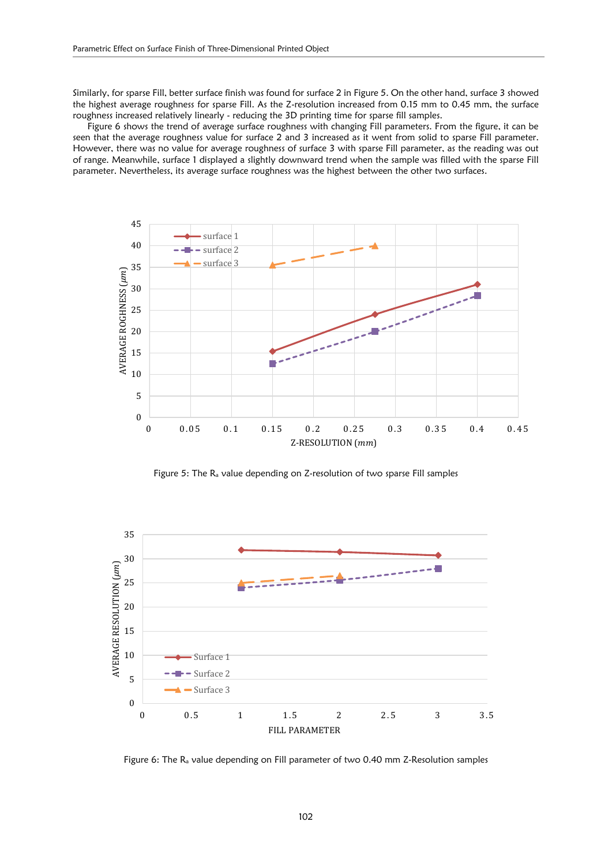Similarly, for sparse Fill, better surface finish was found for surface 2 in Figure 5. On the other hand, surface 3 showed the highest average roughness for sparse Fill. As the Z-resolution increased from 0.15 mm to 0.45 mm, the surface roughness increased relatively linearly - reducing the 3D printing time for sparse fill samples.

Figure 6 shows the trend of average surface roughness with changing Fill parameters. From the figure, it can be seen that the average roughness value for surface 2 and 3 increased as it went from solid to sparse Fill parameter. However, there was no value for average roughness of surface 3 with sparse Fill parameter, as the reading was out of range. Meanwhile, surface 1 displayed a slightly downward trend when the sample was filled with the sparse Fill parameter. Nevertheless, its average surface roughness was the highest between the other two surfaces.



Figure 5: The R<sup>a</sup> value depending on Z-resolution of two sparse Fill samples



Figure 6: The R<sup>a</sup> value depending on Fill parameter of two 0.40 mm Z-Resolution samples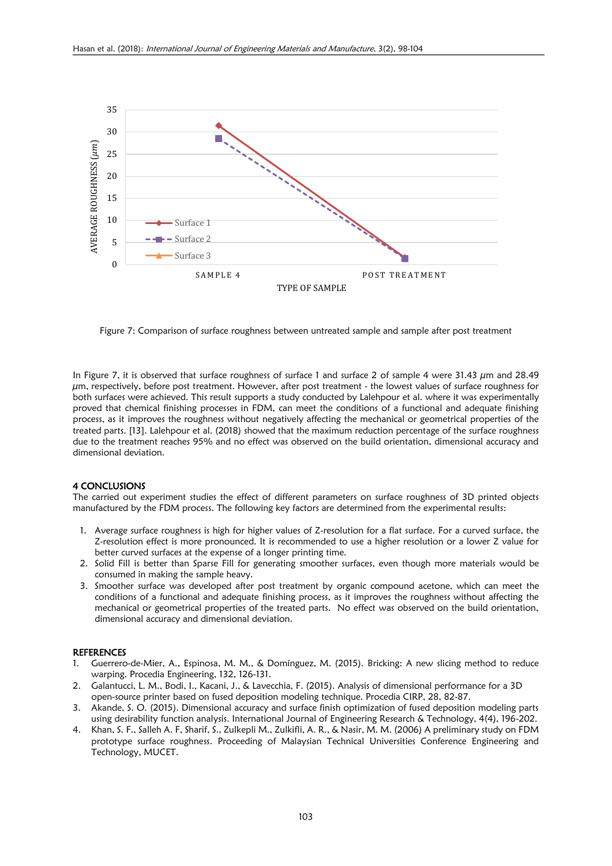

Figure 7: Comparison of surface roughness between untreated sample and sample after post treatment

In Figure 7, it is observed that surface roughness of surface 1 and surface 2 of sample 4 were 31.43  $\mu$ m and 28.49  $\mu$ m, respectively, before post treatment. However, after post treatment - the lowest values of surface roughness for both surfaces were achieved. This result supports a study conducted by Lalehpour et al. where it was experimentally proved that chemical finishing processes in FDM, can meet the conditions of a functional and adequate finishing process, as it improves the roughness without negatively affecting the mechanical or geometrical properties of the treated parts. [13]. Lalehpour et al. (2018) showed that the maximum reduction percentage of the surface roughness due to the treatment reaches 95% and no effect was observed on the build orientation, dimensional accuracy and dimensional deviation.

#### 4 CONCLUSIONS

The carried out experiment studies the effect of different parameters on surface roughness of 3D printed objects manufactured by the FDM process. The following key factors are determined from the experimental results:

- 1. Average surface roughness is high for higher values of Z-resolution for a flat surface. For a curved surface, the Z-resolution effect is more pronounced. It is recommended to use a higher resolution or a lower Z value for better curved surfaces at the expense of a longer printing time.
- 2. Solid Fill is better than Sparse Fill for generating smoother surfaces, even though more materials would be consumed in making the sample heavy.
- 3. Smoother surface was developed after post treatment by organic compound acetone, which can meet the conditions of a functional and adequate finishing process, as it improves the roughness without affecting the mechanical or geometrical properties of the treated parts. No effect was observed on the build orientation, dimensional accuracy and dimensional deviation.

#### **REFERENCES**

- 1. Guerrero-de-Mier, A., Espinosa, M. M., & Domínguez, M. (2015). Bricking: A new slicing method to reduce warping. Procedia Engineering, 132, 126-131.
- 2. Galantucci, L. M., Bodi, I., Kacani, J., & Lavecchia, F. (2015). Analysis of dimensional performance for a 3D open-source printer based on fused deposition modeling technique. Procedia CIRP, 28, 82-87.
- 3. Akande, S. O. (2015). Dimensional accuracy and surface finish optimization of fused deposition modeling parts using desirability function analysis. International Journal of Engineering Research & Technology, 4(4), 196-202.
- 4. Khan, S. F., Salleh A. F, Sharif, S., Zulkepli M., Zulkifli, A. R., & Nasir, M. M. (2006) A preliminary study on FDM prototype surface roughness. Proceeding of Malaysian Technical Universities Conference Engineering and Technology, MUCET.